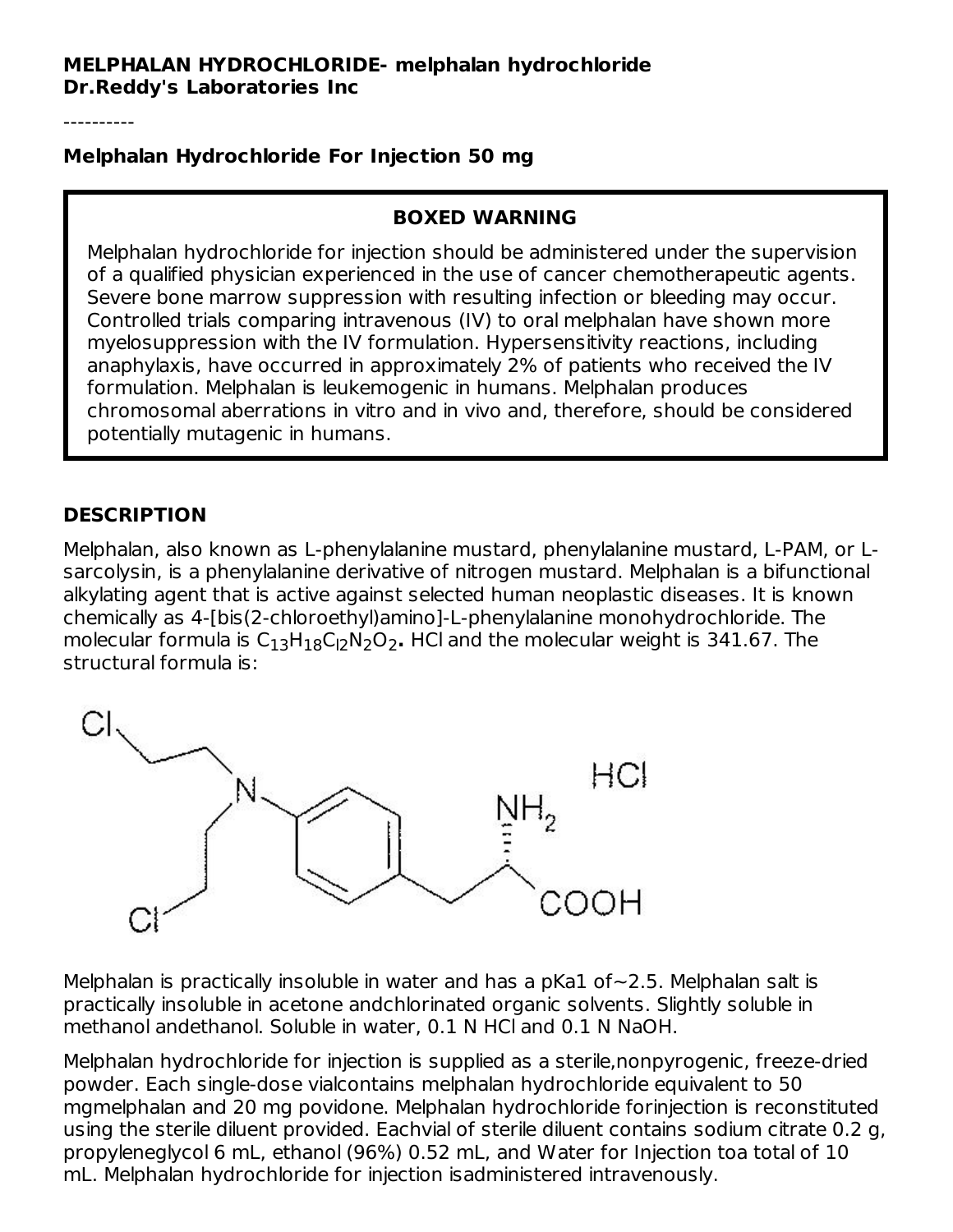----------

#### **Melphalan Hydrochloride For Injection 50 mg**

#### **BOXED WARNING**

Melphalan hydrochloride for injection should be administered under the supervision of a qualified physician experienced in the use of cancer chemotherapeutic agents. Severe bone marrow suppression with resulting infection or bleeding may occur. Controlled trials comparing intravenous (IV) to oral melphalan have shown more myelosuppression with the IV formulation. Hypersensitivity reactions, including anaphylaxis, have occurred in approximately 2% of patients who received the IV formulation. Melphalan is leukemogenic in humans. Melphalan produces chromosomal aberrations in vitro and in vivo and, therefore, should be considered potentially mutagenic in humans.

### **DESCRIPTION**

Melphalan, also known as L-phenylalanine mustard, phenylalanine mustard, L-PAM, or Lsarcolysin, is a phenylalanine derivative of nitrogen mustard. Melphalan is a bifunctional alkylating agent that is active against selected human neoplastic diseases. It is known chemically as 4-[bis(2-chloroethyl)amino]-L-phenylalanine monohydrochloride. The molecular formula is C<sub>13</sub>H<sub>18</sub>C<sub>l2</sub>N<sub>2</sub>O<sub>2</sub>. HCl and the molecular weight is 341.67. The structural formula is:



Melphalan is practically insoluble in water and has a pKa1 of∼2.5. Melphalan salt is practically insoluble in acetone andchlorinated organic solvents. Slightly soluble in methanol andethanol. Soluble in water, 0.1 N HCl and 0.1 N NaOH.

Melphalan hydrochloride for injection is supplied as a sterile,nonpyrogenic, freeze-dried powder. Each single-dose vialcontains melphalan hydrochloride equivalent to 50 mgmelphalan and 20 mg povidone. Melphalan hydrochloride forinjection is reconstituted using the sterile diluent provided. Eachvial of sterile diluent contains sodium citrate 0.2 g, propyleneglycol 6 mL, ethanol (96%) 0.52 mL, and Water for Injection toa total of 10 mL. Melphalan hydrochloride for injection isadministered intravenously.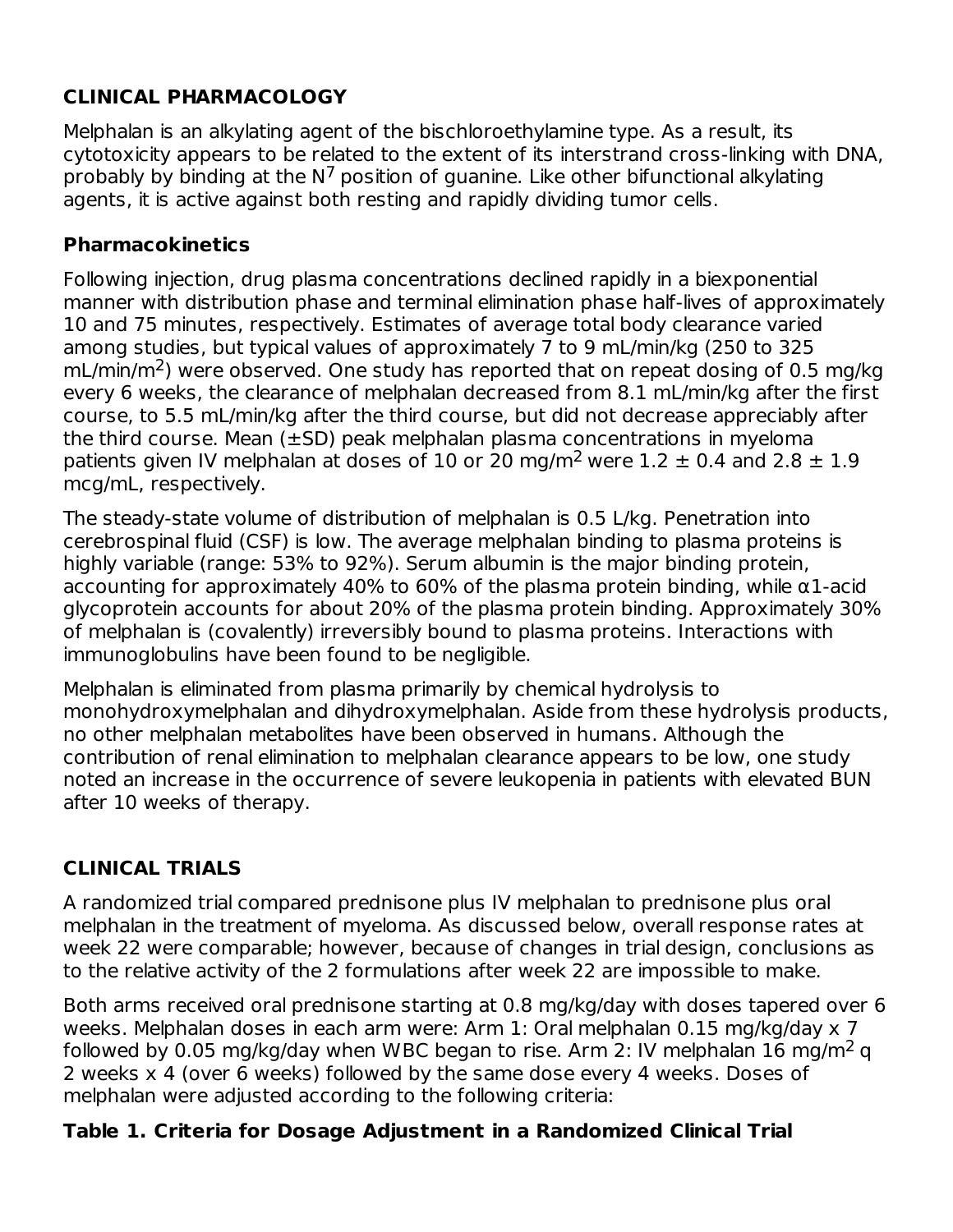# **CLINICAL PHARMACOLOGY**

Melphalan is an alkylating agent of the bischloroethylamine type. As a result, its cytotoxicity appears to be related to the extent of its interstrand cross-linking with DNA, probably by binding at the  $N^7$  position of guanine. Like other bifunctional alkylating agents, it is active against both resting and rapidly dividing tumor cells.

#### **Pharmacokinetics**

Following injection, drug plasma concentrations declined rapidly in a biexponential manner with distribution phase and terminal elimination phase half-lives of approximately 10 and 75 minutes, respectively. Estimates of average total body clearance varied among studies, but typical values of approximately 7 to 9 mL/min/kg (250 to 325  $mL/min/m<sup>2</sup>$ ) were observed. One study has reported that on repeat dosing of 0.5 mg/kg every 6 weeks, the clearance of melphalan decreased from 8.1 mL/min/kg after the first course, to 5.5 mL/min/kg after the third course, but did not decrease appreciably after the third course. Mean  $(\pm SD)$  peak melphalan plasma concentrations in myeloma patients given IV melphalan at doses of 10 or 20 mg/m<sup>2</sup> were  $1.2 \pm 0.4$  and  $2.8 \pm 1.9$ mcg/mL, respectively.

The steady-state volume of distribution of melphalan is 0.5 L/kg. Penetration into cerebrospinal fluid (CSF) is low. The average melphalan binding to plasma proteins is highly variable (range: 53% to 92%). Serum albumin is the major binding protein, accounting for approximately 40% to 60% of the plasma protein binding, while α1-acid glycoprotein accounts for about 20% of the plasma protein binding. Approximately 30% of melphalan is (covalently) irreversibly bound to plasma proteins. Interactions with immunoglobulins have been found to be negligible.

Melphalan is eliminated from plasma primarily by chemical hydrolysis to monohydroxymelphalan and dihydroxymelphalan. Aside from these hydrolysis products, no other melphalan metabolites have been observed in humans. Although the contribution of renal elimination to melphalan clearance appears to be low, one study noted an increase in the occurrence of severe leukopenia in patients with elevated BUN after 10 weeks of therapy.

## **CLINICAL TRIALS**

A randomized trial compared prednisone plus IV melphalan to prednisone plus oral melphalan in the treatment of myeloma. As discussed below, overall response rates at week 22 were comparable; however, because of changes in trial design, conclusions as to the relative activity of the 2 formulations after week 22 are impossible to make.

Both arms received oral prednisone starting at 0.8 mg/kg/day with doses tapered over 6 weeks. Melphalan doses in each arm were: Arm 1: Oral melphalan 0.15 mg/kg/day x 7 followed by 0.05 mg/kg/day when WBC began to rise. Arm 2: IV melphalan 16 mg/m<sup>2</sup> q 2 weeks x 4 (over 6 weeks) followed by the same dose every 4 weeks. Doses of melphalan were adjusted according to the following criteria:

### **Table 1. Criteria for Dosage Adjustment in a Randomized Clinical Trial**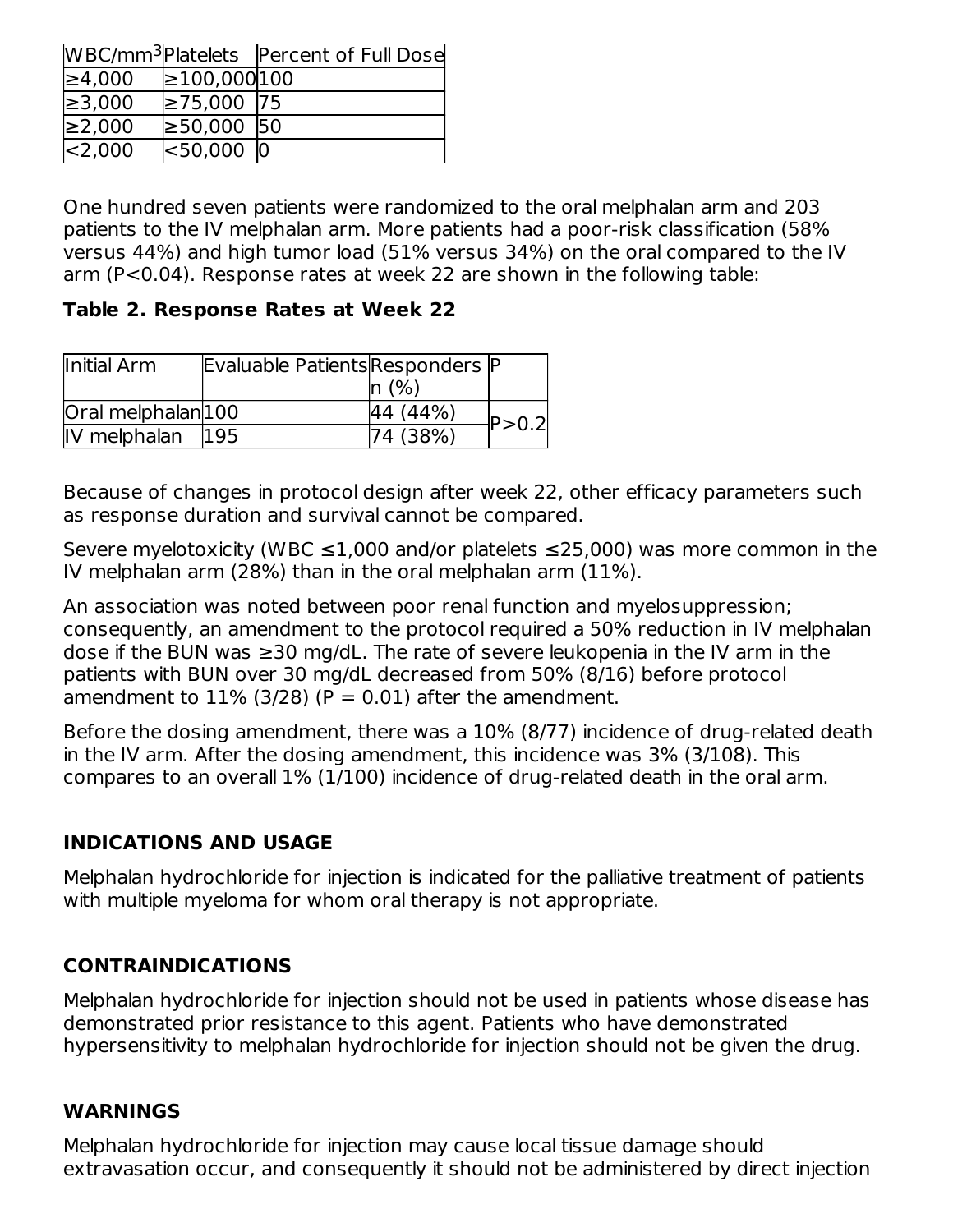|              |                   | WBC/mm <sup>3</sup> Platelets   Percent of Full Dose |
|--------------|-------------------|------------------------------------------------------|
| ≥4,000       | $\geq 100,000100$ |                                                      |
| $\geq 3,000$ | $≥75,000$  75     |                                                      |
| ≥2,000       | $\geq 50,000$ 50  |                                                      |
| $ <$ 2,000   | <sub>50,000</sub> |                                                      |

One hundred seven patients were randomized to the oral melphalan arm and 203 patients to the IV melphalan arm. More patients had a poor-risk classification (58% versus 44%) and high tumor load (51% versus 34%) on the oral compared to the IV arm (P<0.04). Response rates at week 22 are shown in the following table:

**Table 2. Response Rates at Week 22**

| Initial Arm        | Evaluable Patients Responders P |          |         |
|--------------------|---------------------------------|----------|---------|
|                    |                                 | ln(%)    |         |
| Oral melphalan 100 |                                 | 44 (44%) | P > 0.2 |
| IV melphalan       | <b>195</b>                      | 74 (38%) |         |

Because of changes in protocol design after week 22, other efficacy parameters such as response duration and survival cannot be compared.

Severe myelotoxicity (WBC  $\leq 1,000$  and/or platelets  $\leq 25,000$ ) was more common in the IV melphalan arm (28%) than in the oral melphalan arm (11%).

An association was noted between poor renal function and myelosuppression; consequently, an amendment to the protocol required a 50% reduction in IV melphalan dose if the BUN was ≥30 mg/dL. The rate of severe leukopenia in the IV arm in the patients with BUN over 30 mg/dL decreased from 50% (8/16) before protocol amendment to  $11\%$  (3/28) (P = 0.01) after the amendment.

Before the dosing amendment, there was a 10% (8/77) incidence of drug-related death in the IV arm. After the dosing amendment, this incidence was 3% (3/108). This compares to an overall 1% (1/100) incidence of drug-related death in the oral arm.

## **INDICATIONS AND USAGE**

Melphalan hydrochloride for injection is indicated for the palliative treatment of patients with multiple myeloma for whom oral therapy is not appropriate.

### **CONTRAINDICATIONS**

Melphalan hydrochloride for injection should not be used in patients whose disease has demonstrated prior resistance to this agent. Patients who have demonstrated hypersensitivity to melphalan hydrochloride for injection should not be given the drug.

#### **WARNINGS**

Melphalan hydrochloride for injection may cause local tissue damage should extravasation occur, and consequently it should not be administered by direct injection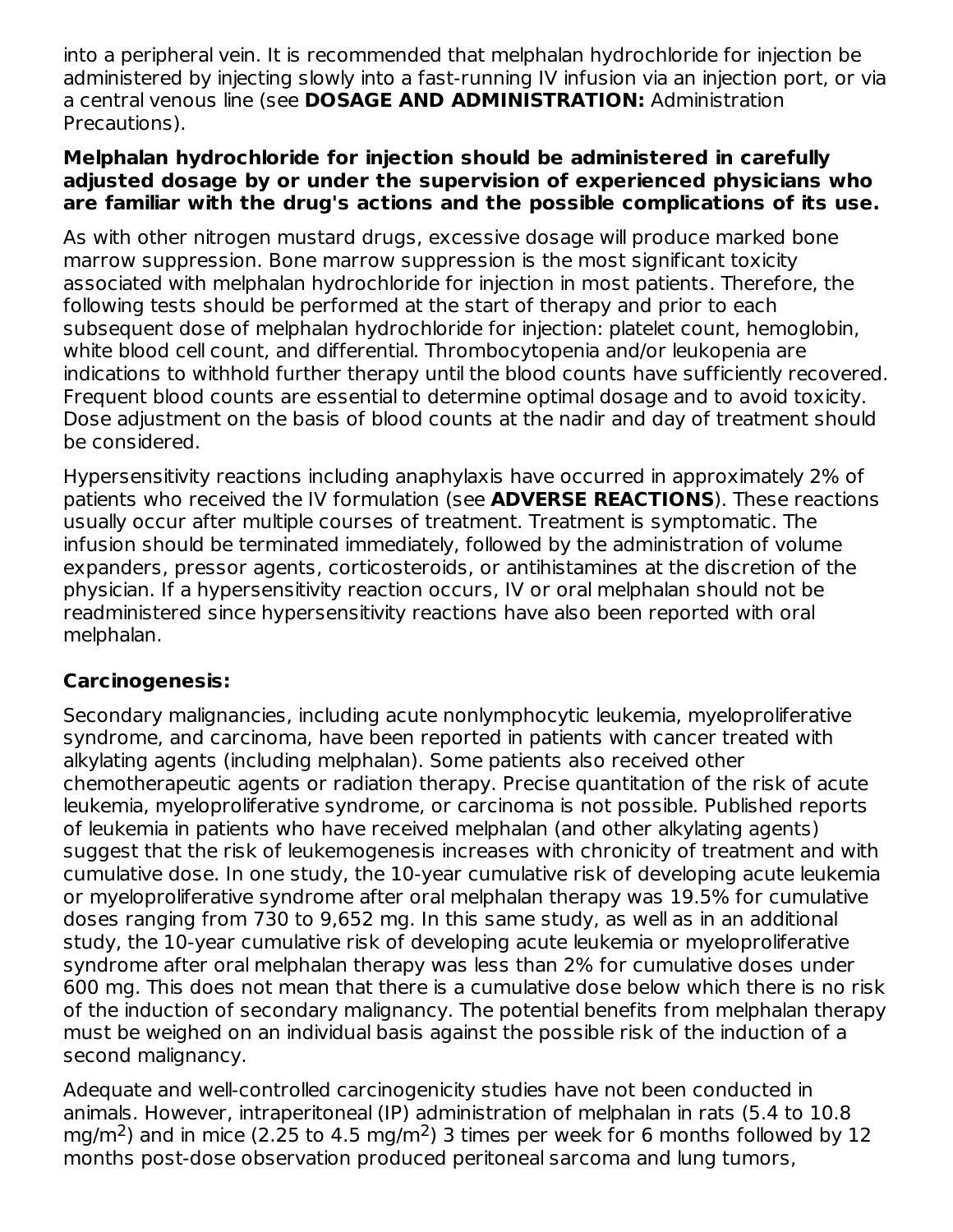into a peripheral vein. It is recommended that melphalan hydrochloride for injection be administered by injecting slowly into a fast-running IV infusion via an injection port, or via a central venous line (see **DOSAGE AND ADMINISTRATION:** Administration Precautions).

#### **Melphalan hydrochloride for injection should be administered in carefully adjusted dosage by or under the supervision of experienced physicians who are familiar with the drug's actions and the possible complications of its use.**

As with other nitrogen mustard drugs, excessive dosage will produce marked bone marrow suppression. Bone marrow suppression is the most significant toxicity associated with melphalan hydrochloride for injection in most patients. Therefore, the following tests should be performed at the start of therapy and prior to each subsequent dose of melphalan hydrochloride for injection: platelet count, hemoglobin, white blood cell count, and differential. Thrombocytopenia and/or leukopenia are indications to withhold further therapy until the blood counts have sufficiently recovered. Frequent blood counts are essential to determine optimal dosage and to avoid toxicity. Dose adjustment on the basis of blood counts at the nadir and day of treatment should be considered.

Hypersensitivity reactions including anaphylaxis have occurred in approximately 2% of patients who received the IV formulation (see **ADVERSE REACTIONS**). These reactions usually occur after multiple courses of treatment. Treatment is symptomatic. The infusion should be terminated immediately, followed by the administration of volume expanders, pressor agents, corticosteroids, or antihistamines at the discretion of the physician. If a hypersensitivity reaction occurs, IV or oral melphalan should not be readministered since hypersensitivity reactions have also been reported with oral melphalan.

### **Carcinogenesis:**

Secondary malignancies, including acute nonlymphocytic leukemia, myeloproliferative syndrome, and carcinoma, have been reported in patients with cancer treated with alkylating agents (including melphalan). Some patients also received other chemotherapeutic agents or radiation therapy. Precise quantitation of the risk of acute leukemia, myeloproliferative syndrome, or carcinoma is not possible. Published reports of leukemia in patients who have received melphalan (and other alkylating agents) suggest that the risk of leukemogenesis increases with chronicity of treatment and with cumulative dose. In one study, the 10-year cumulative risk of developing acute leukemia or myeloproliferative syndrome after oral melphalan therapy was 19.5% for cumulative doses ranging from 730 to 9,652 mg. In this same study, as well as in an additional study, the 10-year cumulative risk of developing acute leukemia or myeloproliferative syndrome after oral melphalan therapy was less than 2% for cumulative doses under 600 mg. This does not mean that there is a cumulative dose below which there is no risk of the induction of secondary malignancy. The potential benefits from melphalan therapy must be weighed on an individual basis against the possible risk of the induction of a second malignancy.

Adequate and well-controlled carcinogenicity studies have not been conducted in animals. However, intraperitoneal (IP) administration of melphalan in rats (5.4 to 10.8 mg/m<sup>2</sup>) and in mice (2.25 to 4.5 mg/m<sup>2</sup>) 3 times per week for 6 months followed by 12 months post-dose observation produced peritoneal sarcoma and lung tumors,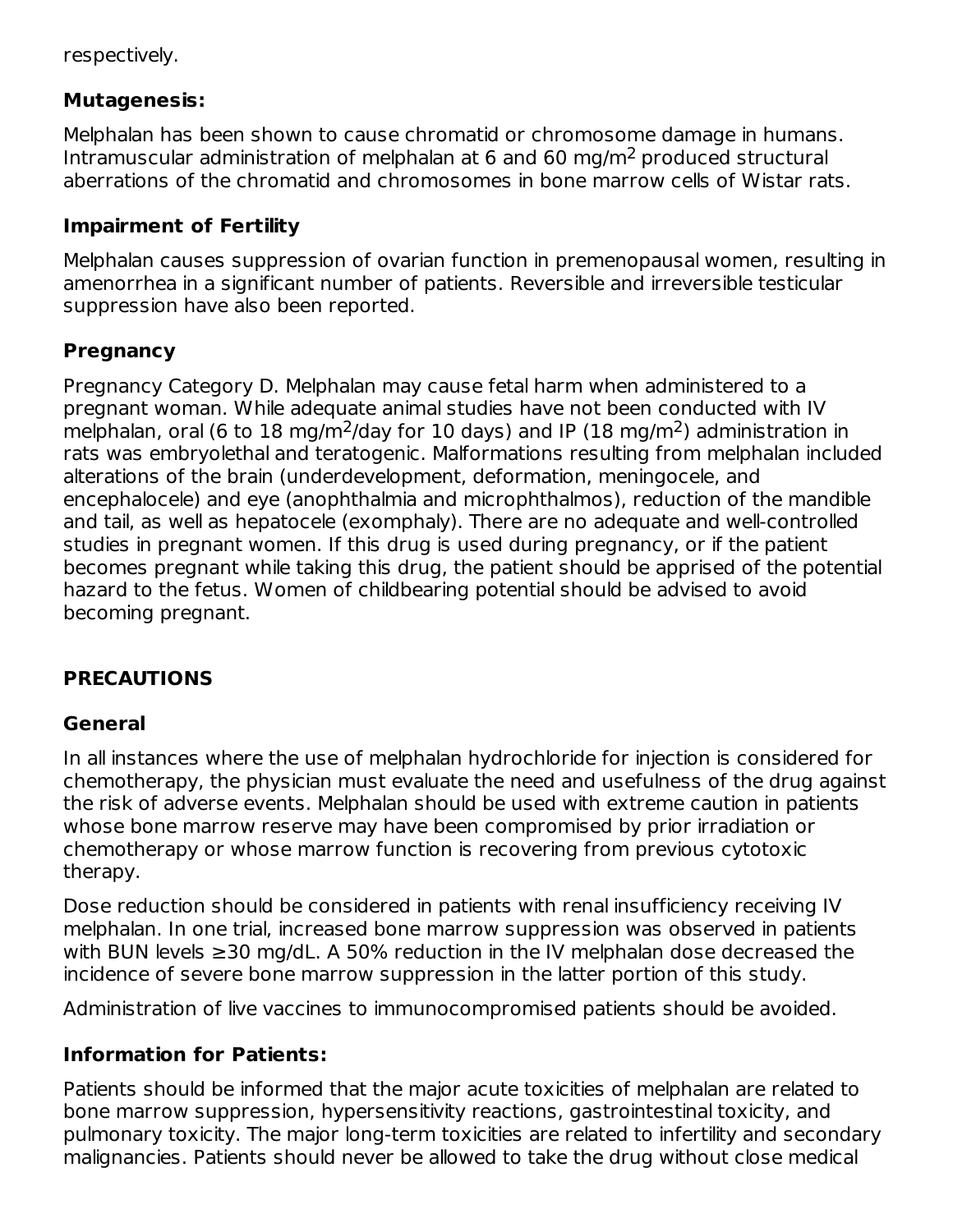respectively.

### **Mutagenesis:**

Melphalan has been shown to cause chromatid or chromosome damage in humans. Intramuscular administration of melphalan at 6 and 60 mg/m<sup>2</sup> produced structural aberrations of the chromatid and chromosomes in bone marrow cells of Wistar rats.

## **Impairment of Fertility**

Melphalan causes suppression of ovarian function in premenopausal women, resulting in amenorrhea in a significant number of patients. Reversible and irreversible testicular suppression have also been reported.

## **Pregnancy**

Pregnancy Category D. Melphalan may cause fetal harm when administered to a pregnant woman. While adequate animal studies have not been conducted with IV melphalan, oral (6 to 18 mg/m<sup>2</sup>/day for 10 days) and IP (18 mg/m<sup>2</sup>) administration in rats was embryolethal and teratogenic. Malformations resulting from melphalan included alterations of the brain (underdevelopment, deformation, meningocele, and encephalocele) and eye (anophthalmia and microphthalmos), reduction of the mandible and tail, as well as hepatocele (exomphaly). There are no adequate and well-controlled studies in pregnant women. If this drug is used during pregnancy, or if the patient becomes pregnant while taking this drug, the patient should be apprised of the potential hazard to the fetus. Women of childbearing potential should be advised to avoid becoming pregnant.

## **PRECAUTIONS**

### **General**

In all instances where the use of melphalan hydrochloride for injection is considered for chemotherapy, the physician must evaluate the need and usefulness of the drug against the risk of adverse events. Melphalan should be used with extreme caution in patients whose bone marrow reserve may have been compromised by prior irradiation or chemotherapy or whose marrow function is recovering from previous cytotoxic therapy.

Dose reduction should be considered in patients with renal insufficiency receiving IV melphalan. In one trial, increased bone marrow suppression was observed in patients with BUN levels ≥30 mg/dL. A 50% reduction in the IV melphalan dose decreased the incidence of severe bone marrow suppression in the latter portion of this study.

Administration of live vaccines to immunocompromised patients should be avoided.

### **Information for Patients:**

Patients should be informed that the major acute toxicities of melphalan are related to bone marrow suppression, hypersensitivity reactions, gastrointestinal toxicity, and pulmonary toxicity. The major long-term toxicities are related to infertility and secondary malignancies. Patients should never be allowed to take the drug without close medical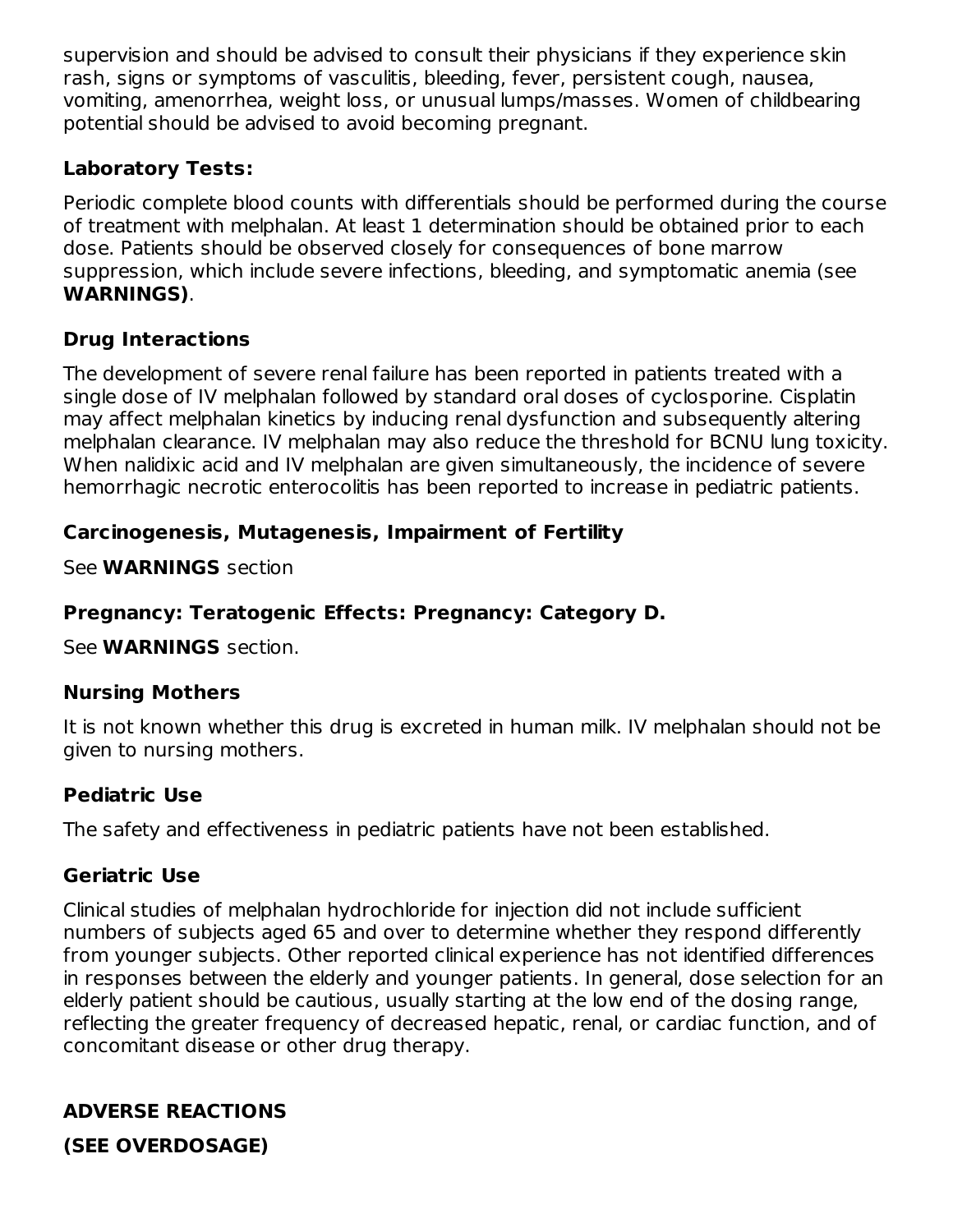supervision and should be advised to consult their physicians if they experience skin rash, signs or symptoms of vasculitis, bleeding, fever, persistent cough, nausea, vomiting, amenorrhea, weight loss, or unusual lumps/masses. Women of childbearing potential should be advised to avoid becoming pregnant.

### **Laboratory Tests:**

Periodic complete blood counts with differentials should be performed during the course of treatment with melphalan. At least 1 determination should be obtained prior to each dose. Patients should be observed closely for consequences of bone marrow suppression, which include severe infections, bleeding, and symptomatic anemia (see **WARNINGS)**.

## **Drug Interactions**

The development of severe renal failure has been reported in patients treated with a single dose of IV melphalan followed by standard oral doses of cyclosporine. Cisplatin may affect melphalan kinetics by inducing renal dysfunction and subsequently altering melphalan clearance. IV melphalan may also reduce the threshold for BCNU lung toxicity. When nalidixic acid and IV melphalan are given simultaneously, the incidence of severe hemorrhagic necrotic enterocolitis has been reported to increase in pediatric patients.

## **Carcinogenesis, Mutagenesis, Impairment of Fertility**

See **WARNINGS** section

## **Pregnancy: Teratogenic Effects: Pregnancy: Category D.**

See **WARNINGS** section.

### **Nursing Mothers**

It is not known whether this drug is excreted in human milk. IV melphalan should not be given to nursing mothers.

### **Pediatric Use**

The safety and effectiveness in pediatric patients have not been established.

### **Geriatric Use**

Clinical studies of melphalan hydrochloride for injection did not include sufficient numbers of subjects aged 65 and over to determine whether they respond differently from younger subjects. Other reported clinical experience has not identified differences in responses between the elderly and younger patients. In general, dose selection for an elderly patient should be cautious, usually starting at the low end of the dosing range, reflecting the greater frequency of decreased hepatic, renal, or cardiac function, and of concomitant disease or other drug therapy.

## **ADVERSE REACTIONS**

**(SEE OVERDOSAGE)**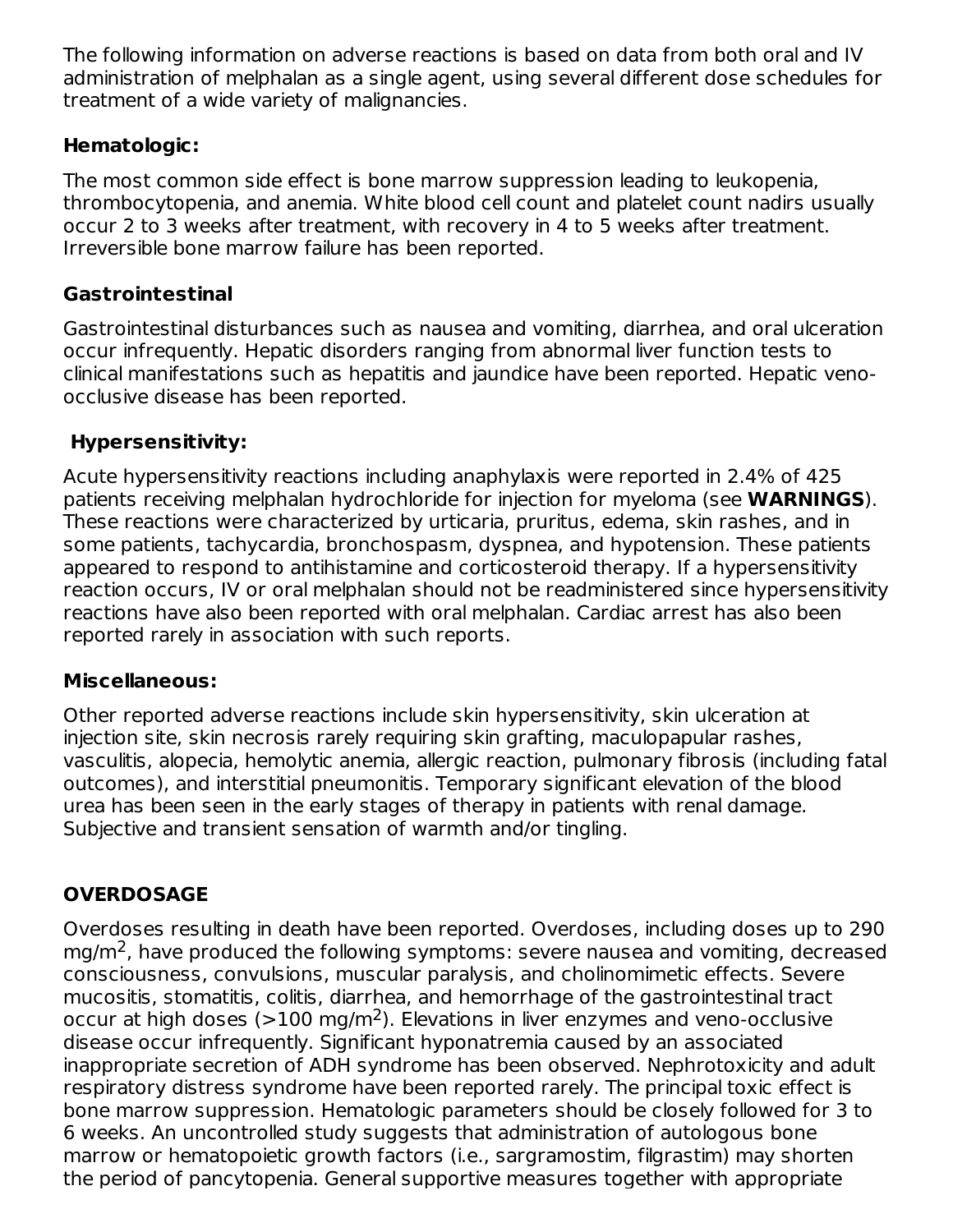The following information on adverse reactions is based on data from both oral and IV administration of melphalan as a single agent, using several different dose schedules for treatment of a wide variety of malignancies.

### **Hematologic:**

The most common side effect is bone marrow suppression leading to leukopenia, thrombocytopenia, and anemia. White blood cell count and platelet count nadirs usually occur 2 to 3 weeks after treatment, with recovery in 4 to 5 weeks after treatment. Irreversible bone marrow failure has been reported.

## **Gastrointestinal**

Gastrointestinal disturbances such as nausea and vomiting, diarrhea, and oral ulceration occur infrequently. Hepatic disorders ranging from abnormal liver function tests to clinical manifestations such as hepatitis and jaundice have been reported. Hepatic venoocclusive disease has been reported.

# **Hypersensitivity:**

Acute hypersensitivity reactions including anaphylaxis were reported in 2.4% of 425 patients receiving melphalan hydrochloride for injection for myeloma (see **WARNINGS**). These reactions were characterized by urticaria, pruritus, edema, skin rashes, and in some patients, tachycardia, bronchospasm, dyspnea, and hypotension. These patients appeared to respond to antihistamine and corticosteroid therapy. If a hypersensitivity reaction occurs, IV or oral melphalan should not be readministered since hypersensitivity reactions have also been reported with oral melphalan. Cardiac arrest has also been reported rarely in association with such reports.

## **Miscellaneous:**

Other reported adverse reactions include skin hypersensitivity, skin ulceration at injection site, skin necrosis rarely requiring skin grafting, maculopapular rashes, vasculitis, alopecia, hemolytic anemia, allergic reaction, pulmonary fibrosis (including fatal outcomes), and interstitial pneumonitis. Temporary significant elevation of the blood urea has been seen in the early stages of therapy in patients with renal damage. Subjective and transient sensation of warmth and/or tingling.

# **OVERDOSAGE**

Overdoses resulting in death have been reported. Overdoses, including doses up to 290 mg/m<sup>2</sup>, have produced the following symptoms: severe nausea and vomiting, decreased consciousness, convulsions, muscular paralysis, and cholinomimetic effects. Severe mucositis, stomatitis, colitis, diarrhea, and hemorrhage of the gastrointestinal tract occur at high doses ( $>$ 100 mg/m<sup>2</sup>). Elevations in liver enzymes and veno-occlusive disease occur infrequently. Significant hyponatremia caused by an associated inappropriate secretion of ADH syndrome has been observed. Nephrotoxicity and adult respiratory distress syndrome have been reported rarely. The principal toxic effect is bone marrow suppression. Hematologic parameters should be closely followed for 3 to 6 weeks. An uncontrolled study suggests that administration of autologous bone marrow or hematopoietic growth factors (i.e., sargramostim, filgrastim) may shorten the period of pancytopenia. General supportive measures together with appropriate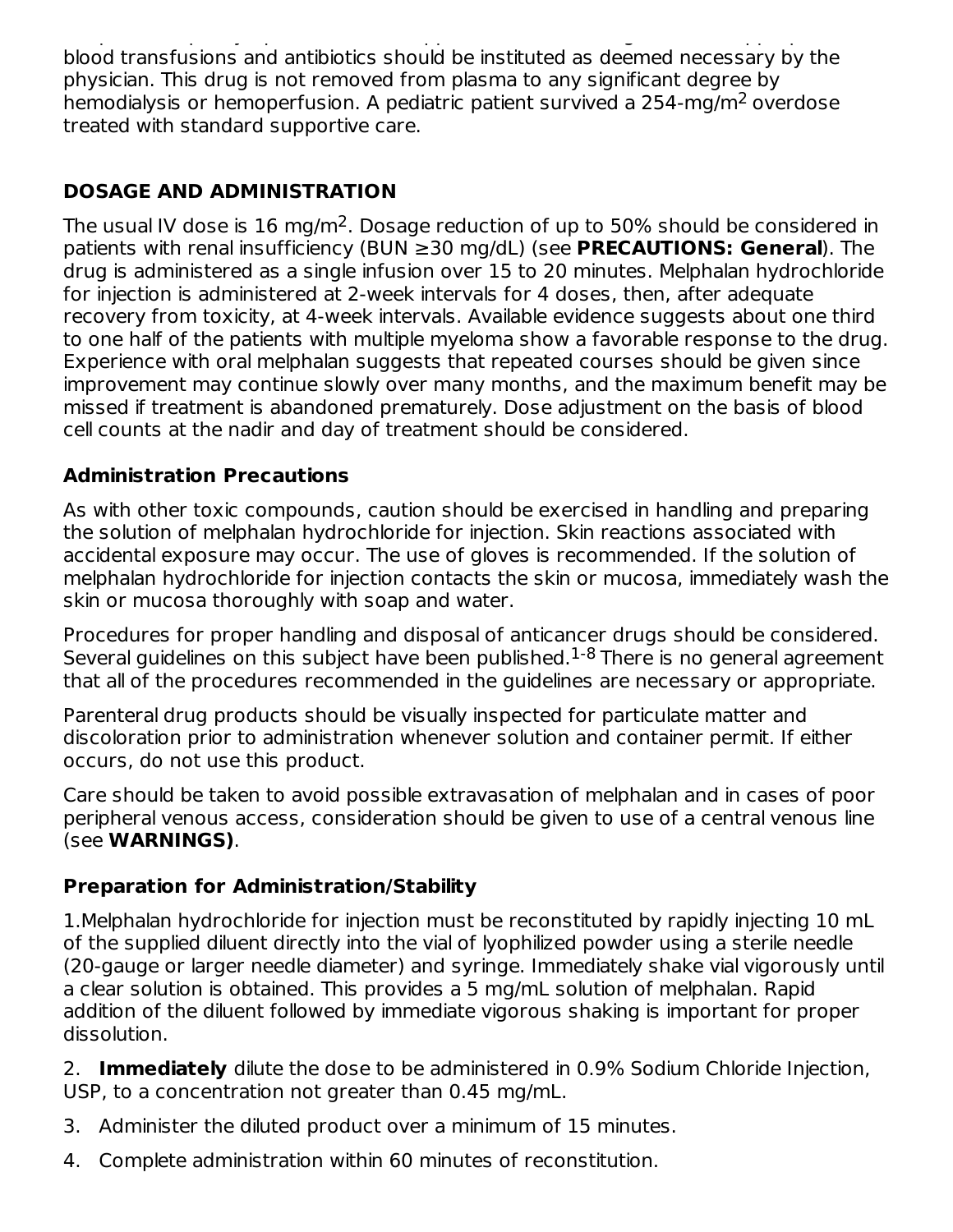the period of pancytopenia. General supportive measures together with appropriate blood transfusions and antibiotics should be instituted as deemed necessary by the physician. This drug is not removed from plasma to any significant degree by hemodialysis or hemoperfusion. A pediatric patient survived a 254-mg/m<sup>2</sup> overdose treated with standard supportive care.

## **DOSAGE AND ADMINISTRATION**

The usual IV dose is  $16 \text{ mg/m}^2$ . Dosage reduction of up to 50% should be considered in patients with renal insufficiency (BUN ≥30 mg/dL) (see **PRECAUTIONS: General**). The drug is administered as a single infusion over 15 to 20 minutes. Melphalan hydrochloride for injection is administered at 2-week intervals for 4 doses, then, after adequate recovery from toxicity, at 4-week intervals. Available evidence suggests about one third to one half of the patients with multiple myeloma show a favorable response to the drug. Experience with oral melphalan suggests that repeated courses should be given since improvement may continue slowly over many months, and the maximum benefit may be missed if treatment is abandoned prematurely. Dose adjustment on the basis of blood cell counts at the nadir and day of treatment should be considered.

## **Administration Precautions**

As with other toxic compounds, caution should be exercised in handling and preparing the solution of melphalan hydrochloride for injection. Skin reactions associated with accidental exposure may occur. The use of gloves is recommended. If the solution of melphalan hydrochloride for injection contacts the skin or mucosa, immediately wash the skin or mucosa thoroughly with soap and water.

Procedures for proper handling and disposal of anticancer drugs should be considered. Several guidelines on this subject have been published. $^{1-8}$  There is no general agreement that all of the procedures recommended in the guidelines are necessary or appropriate.

Parenteral drug products should be visually inspected for particulate matter and discoloration prior to administration whenever solution and container permit. If either occurs, do not use this product.

Care should be taken to avoid possible extravasation of melphalan and in cases of poor peripheral venous access, consideration should be given to use of a central venous line (see **WARNINGS)**.

### **Preparation for Administration/Stability**

1.Melphalan hydrochloride for injection must be reconstituted by rapidly injecting 10 mL of the supplied diluent directly into the vial of lyophilized powder using a sterile needle (20-gauge or larger needle diameter) and syringe. Immediately shake vial vigorously until a clear solution is obtained. This provides a 5 mg/mL solution of melphalan. Rapid addition of the diluent followed by immediate vigorous shaking is important for proper dissolution.

2. **Immediately** dilute the dose to be administered in 0.9% Sodium Chloride Injection, USP, to a concentration not greater than 0.45 mg/mL.

- 3. Administer the diluted product over a minimum of 15 minutes.
- 4. Complete administration within 60 minutes of reconstitution.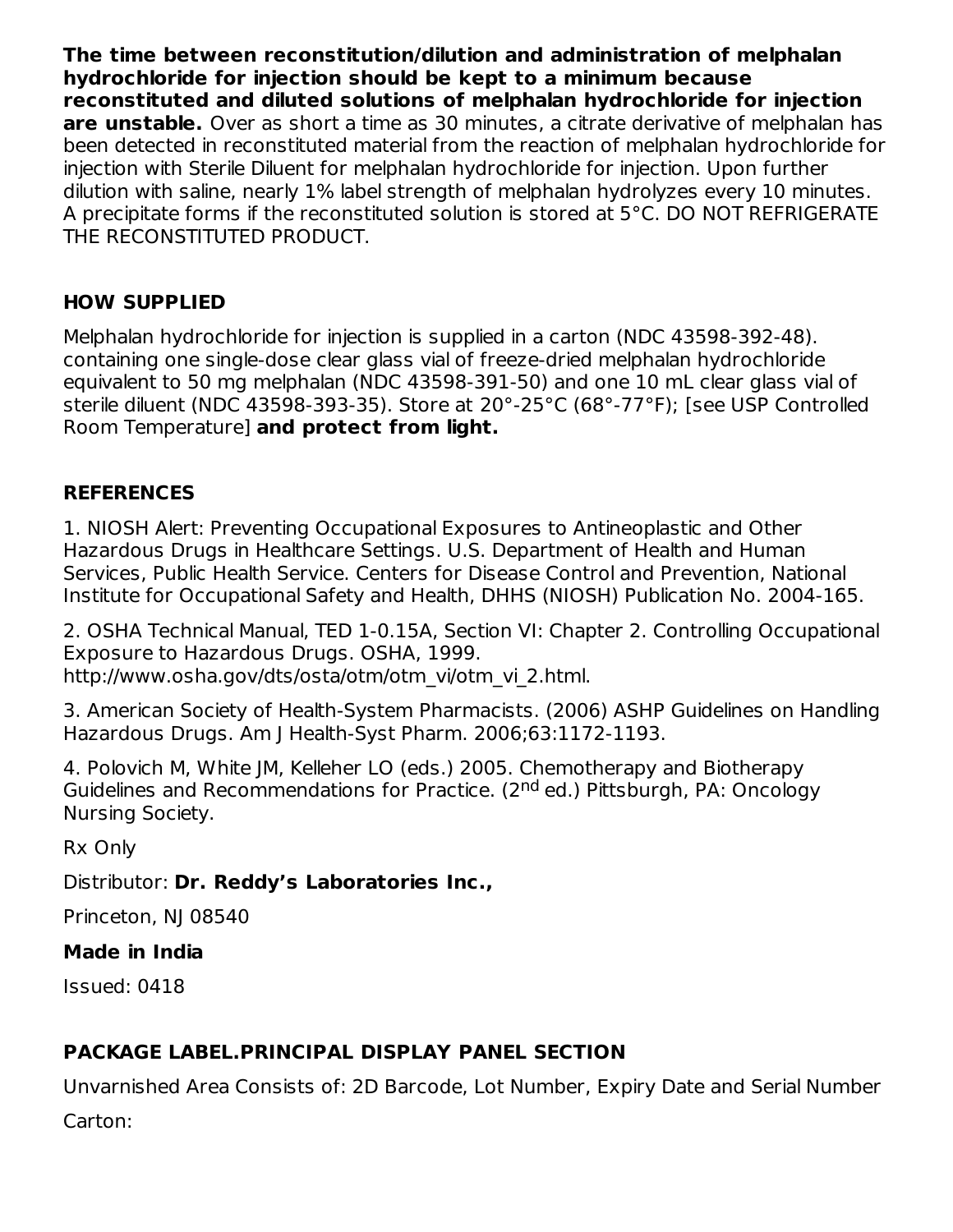**The time between reconstitution/dilution and administration of melphalan hydrochloride for injection should be kept to a minimum because reconstituted and diluted solutions of melphalan hydrochloride for injection are unstable.** Over as short a time as 30 minutes, a citrate derivative of melphalan has been detected in reconstituted material from the reaction of melphalan hydrochloride for injection with Sterile Diluent for melphalan hydrochloride for injection. Upon further dilution with saline, nearly 1% label strength of melphalan hydrolyzes every 10 minutes. A precipitate forms if the reconstituted solution is stored at 5°C. DO NOT REFRIGERATE THE RECONSTITUTED PRODUCT.

## **HOW SUPPLIED**

Melphalan hydrochloride for injection is supplied in a carton (NDC 43598-392-48). containing one single-dose clear glass vial of freeze-dried melphalan hydrochloride equivalent to 50 mg melphalan (NDC 43598-391-50) and one 10 mL clear glass vial of sterile diluent (NDC 43598-393-35). Store at 20°-25°C (68°-77°F); [see USP Controlled Room Temperature] **and protect from light.**

## **REFERENCES**

1. NIOSH Alert: Preventing Occupational Exposures to Antineoplastic and Other Hazardous Drugs in Healthcare Settings. U.S. Department of Health and Human Services, Public Health Service. Centers for Disease Control and Prevention, National Institute for Occupational Safety and Health, DHHS (NIOSH) Publication No. 2004-165.

2. OSHA Technical Manual, TED 1-0.15A, Section VI: Chapter 2. Controlling Occupational Exposure to Hazardous Drugs. OSHA, 1999. http://www.osha.gov/dts/osta/otm/otm\_vi/otm\_vi\_2.html.

3. American Society of Health-System Pharmacists. (2006) ASHP Guidelines on Handling Hazardous Drugs. Am J Health-Syst Pharm. 2006;63:1172-1193.

4. Polovich M, White JM, Kelleher LO (eds.) 2005. Chemotherapy and Biotherapy Guidelines and Recommendations for Practice. (2<sup>nd</sup> ed.) Pittsburgh, PA: Oncology Nursing Society.

Rx Only

Distributor: **Dr. Reddy's Laboratories Inc.,**

Princeton, NJ 08540

### **Made in India**

Issued: 0418

# **PACKAGE LABEL.PRINCIPAL DISPLAY PANEL SECTION**

Unvarnished Area Consists of: 2D Barcode, Lot Number, Expiry Date and Serial Number

Carton: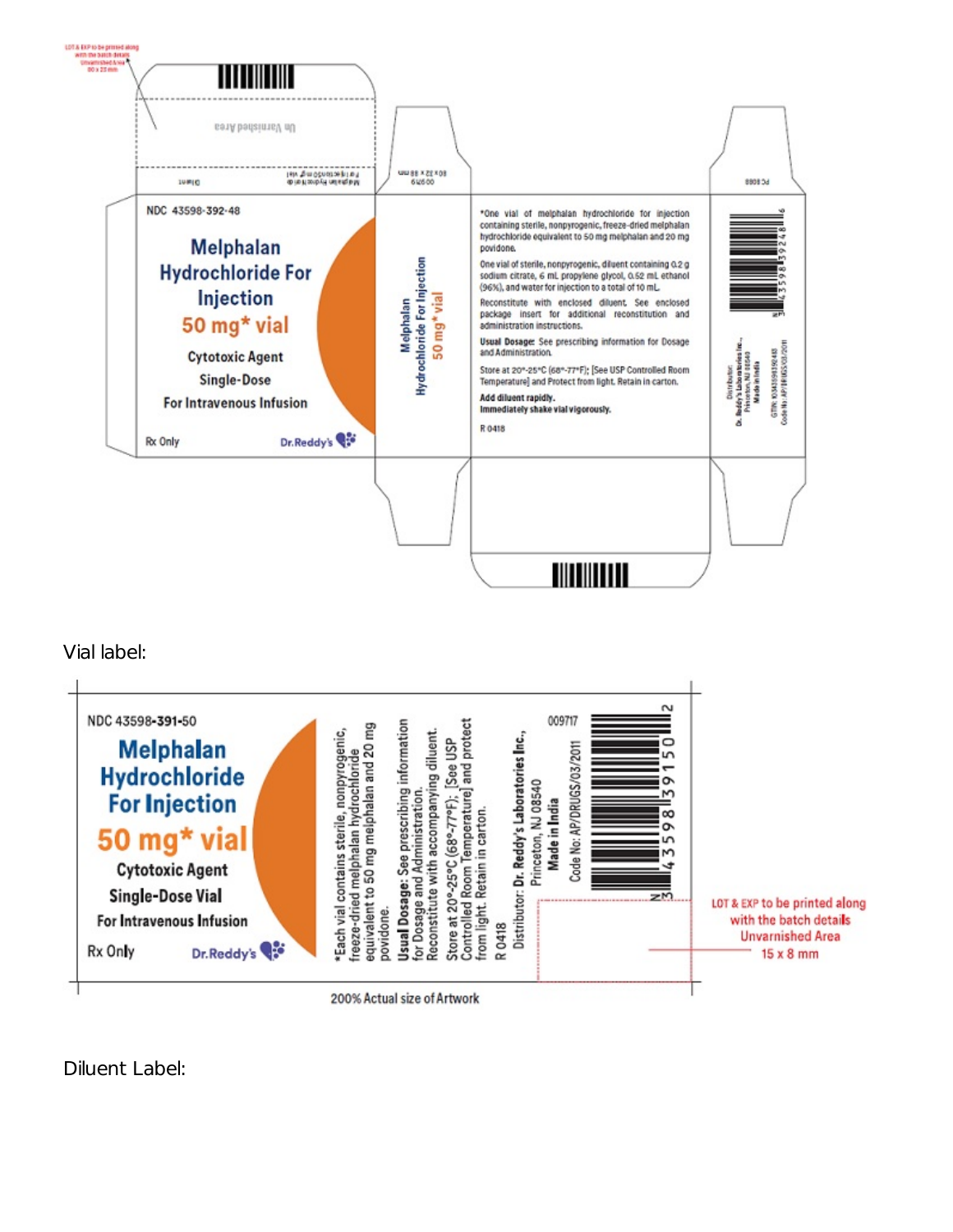

Vial label:



Diluent Label: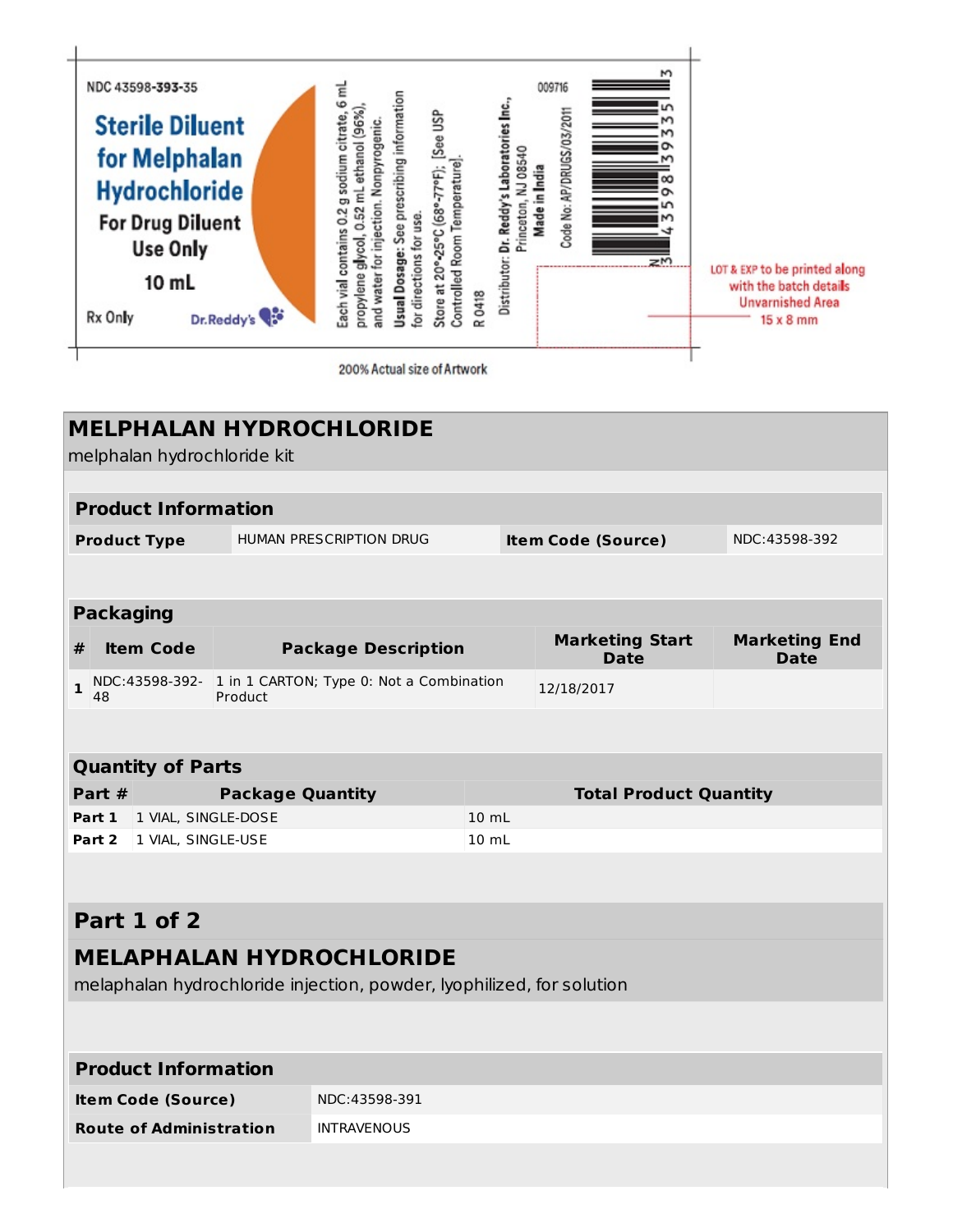

200% Actual size of Artwork

| <b>MELPHALAN HYDROCHLORIDE</b> |                                |                         |                                                                       |                 |                                       |                                     |
|--------------------------------|--------------------------------|-------------------------|-----------------------------------------------------------------------|-----------------|---------------------------------------|-------------------------------------|
| melphalan hydrochloride kit    |                                |                         |                                                                       |                 |                                       |                                     |
|                                |                                |                         |                                                                       |                 |                                       |                                     |
|                                | <b>Product Information</b>     |                         |                                                                       |                 |                                       |                                     |
|                                | <b>Product Type</b>            |                         | HUMAN PRESCRIPTION DRUG                                               |                 | <b>Item Code (Source)</b>             | NDC:43598-392                       |
|                                |                                |                         |                                                                       |                 |                                       |                                     |
|                                | <b>Packaging</b>               |                         |                                                                       |                 |                                       |                                     |
| #                              | <b>Item Code</b>               |                         | <b>Package Description</b>                                            |                 | <b>Marketing Start</b><br><b>Date</b> | <b>Marketing End</b><br><b>Date</b> |
| $\mathbf{1}$                   | 48                             | Product                 | NDC:43598-392- 1 in 1 CARTON; Type 0: Not a Combination               |                 | 12/18/2017                            |                                     |
|                                |                                |                         |                                                                       |                 |                                       |                                     |
|                                |                                |                         |                                                                       |                 |                                       |                                     |
|                                | <b>Quantity of Parts</b>       |                         |                                                                       |                 |                                       |                                     |
|                                |                                |                         |                                                                       |                 |                                       |                                     |
|                                | Part #                         | <b>Package Quantity</b> |                                                                       |                 | <b>Total Product Quantity</b>         |                                     |
|                                | Part 1<br>1 VIAL, SINGLE-DOSE  |                         |                                                                       | $10 \text{ ml}$ |                                       |                                     |
|                                | Part 2<br>1 VIAL, SINGLE-USE   |                         |                                                                       | $10 \text{ mL}$ |                                       |                                     |
|                                |                                |                         |                                                                       |                 |                                       |                                     |
|                                | Part 1 of 2                    |                         |                                                                       |                 |                                       |                                     |
|                                |                                |                         | <b>MELAPHALAN HYDROCHLORIDE</b>                                       |                 |                                       |                                     |
|                                |                                |                         | melaphalan hydrochloride injection, powder, lyophilized, for solution |                 |                                       |                                     |
|                                |                                |                         |                                                                       |                 |                                       |                                     |
|                                |                                |                         |                                                                       |                 |                                       |                                     |
|                                | <b>Product Information</b>     |                         |                                                                       |                 |                                       |                                     |
|                                | <b>Item Code (Source)</b>      |                         | NDC:43598-391                                                         |                 |                                       |                                     |
|                                | <b>Route of Administration</b> |                         | <b>INTRAVENOUS</b>                                                    |                 |                                       |                                     |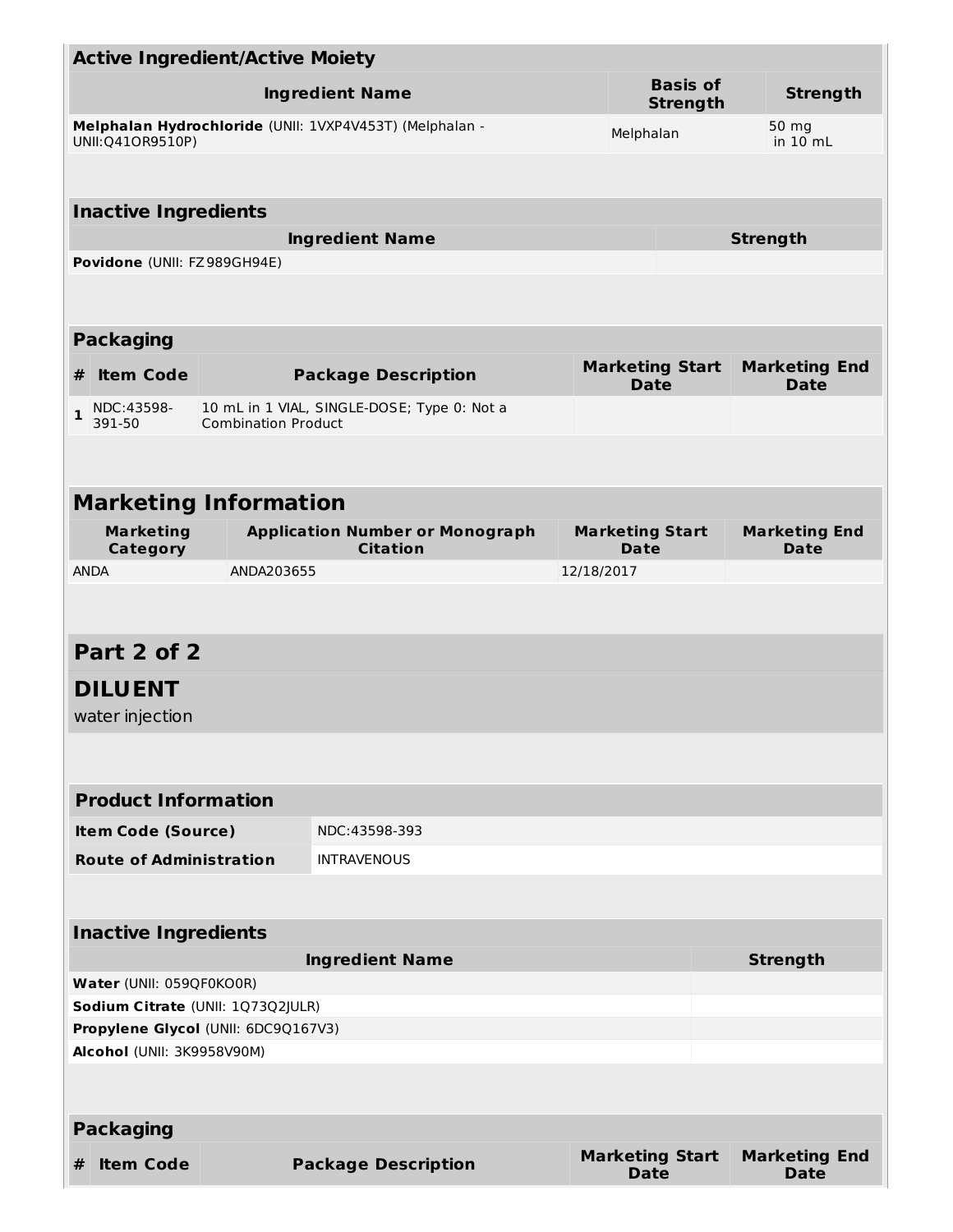| <b>Active Ingredient/Active Moiety</b>                                                                           |                                   |                              |                                             |            |                                       |                                     |
|------------------------------------------------------------------------------------------------------------------|-----------------------------------|------------------------------|---------------------------------------------|------------|---------------------------------------|-------------------------------------|
| <b>Ingredient Name</b>                                                                                           |                                   |                              |                                             |            | <b>Basis of</b><br><b>Strength</b>    | <b>Strength</b>                     |
| Melphalan Hydrochloride (UNII: 1VXP4V453T) (Melphalan -<br>50 mg<br>Melphalan<br>UNII: Q410R9510P)<br>in $10$ mL |                                   |                              |                                             |            |                                       |                                     |
|                                                                                                                  | <b>Inactive Ingredients</b>       |                              |                                             |            |                                       |                                     |
|                                                                                                                  |                                   |                              | <b>Ingredient Name</b>                      |            |                                       | <b>Strength</b>                     |
|                                                                                                                  | Povidone (UNII: FZ989GH94E)       |                              |                                             |            |                                       |                                     |
|                                                                                                                  | <b>Packaging</b>                  |                              |                                             |            |                                       |                                     |
| #                                                                                                                | <b>Item Code</b>                  |                              | <b>Package Description</b>                  |            | <b>Marketing Start</b><br><b>Date</b> | <b>Marketing End</b><br><b>Date</b> |
| $\mathbf{1}$                                                                                                     | NDC:43598-<br>391-50              | <b>Combination Product</b>   | 10 mL in 1 VIAL, SINGLE-DOSE; Type 0: Not a |            |                                       |                                     |
|                                                                                                                  |                                   |                              |                                             |            |                                       |                                     |
|                                                                                                                  |                                   |                              |                                             |            |                                       |                                     |
|                                                                                                                  |                                   | <b>Marketing Information</b> |                                             |            | <b>Marketing Start</b>                | <b>Marketing End</b>                |
| <b>Marketing</b><br><b>Application Number or Monograph</b><br><b>Citation</b><br><b>Category</b>                 |                                   |                              |                                             |            | Date                                  |                                     |
| <b>ANDA</b><br>ANDA203655                                                                                        |                                   |                              |                                             | 12/18/2017 |                                       |                                     |
|                                                                                                                  |                                   |                              |                                             |            |                                       |                                     |
|                                                                                                                  | Part 2 of 2                       |                              |                                             |            |                                       |                                     |
|                                                                                                                  | <b>DILUENT</b><br>water injection |                              |                                             |            |                                       |                                     |
|                                                                                                                  |                                   |                              |                                             |            |                                       |                                     |
|                                                                                                                  | <b>Product Information</b>        |                              |                                             |            |                                       |                                     |
|                                                                                                                  | <b>Item Code (Source)</b>         |                              | NDC: 43598-393                              |            |                                       |                                     |
|                                                                                                                  | <b>Route of Administration</b>    |                              | <b>INTRAVENOUS</b>                          |            |                                       |                                     |
|                                                                                                                  |                                   |                              |                                             |            |                                       |                                     |
|                                                                                                                  | <b>Inactive Ingredients</b>       |                              |                                             |            |                                       |                                     |
| <b>Ingredient Name</b>                                                                                           |                                   |                              |                                             |            |                                       | <b>Strength</b>                     |
| Water (UNII: 059QF0KO0R)                                                                                         |                                   |                              |                                             |            |                                       |                                     |
| Sodium Citrate (UNII: 1Q73Q2JULR)<br>Propylene Glycol (UNII: 6DC9Q167V3)                                         |                                   |                              |                                             |            |                                       |                                     |
|                                                                                                                  | Alcohol (UNII: 3K9958V90M)        |                              |                                             |            |                                       |                                     |
|                                                                                                                  |                                   |                              |                                             |            |                                       |                                     |
|                                                                                                                  | <b>Packaging</b>                  |                              |                                             |            |                                       |                                     |
| #                                                                                                                | <b>Item Code</b>                  |                              | <b>Package Description</b>                  |            | <b>Marketing Start</b><br><b>Date</b> | <b>Marketing End</b><br><b>Date</b> |